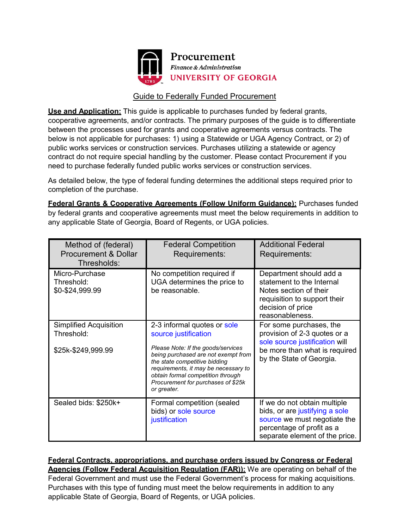

## Guide to Federally Funded Procurement

**Use and Application:** This guide is applicable to purchases funded by federal grants, cooperative agreements, and/or contracts. The primary purposes of the guide is to differentiate between the processes used for grants and cooperative agreements versus contracts. The below is not applicable for purchases: 1) using a Statewide or UGA Agency Contract, or 2) of public works services or construction services. Purchases utilizing a statewide or agency contract do not require special handling by the customer. Please contact Procurement if you need to purchase federally funded public works services or construction services.

As detailed below, the type of federal funding determines the additional steps required prior to completion of the purchase.

**Federal Grants & Cooperative Agreements (Follow Uniform Guidance):** Purchases funded by federal grants and cooperative agreements must meet the below requirements in addition to any applicable State of Georgia, Board of Regents, or UGA policies.

| Method of (federal)<br><b>Procurement &amp; Dollar</b><br>Thresholds: | <b>Federal Competition</b><br>Requirements:                                                                                                                                                                                                                                                         | <b>Additional Federal</b><br>Requirements:                                                                                                                    |
|-----------------------------------------------------------------------|-----------------------------------------------------------------------------------------------------------------------------------------------------------------------------------------------------------------------------------------------------------------------------------------------------|---------------------------------------------------------------------------------------------------------------------------------------------------------------|
| Micro-Purchase<br>Threshold:<br>\$0-\$24,999.99                       | No competition required if<br>UGA determines the price to<br>be reasonable.                                                                                                                                                                                                                         | Department should add a<br>statement to the Internal<br>Notes section of their<br>requisition to support their<br>decision of price<br>reasonableness.        |
| <b>Simplified Acquisition</b><br>Threshold:<br>\$25k-\$249,999.99     | 2-3 informal quotes or sole<br>source justification<br>Please Note: If the goods/services<br>being purchased are not exempt from<br>the state competitive bidding<br>requirements, it may be necessary to<br>obtain formal competition through<br>Procurement for purchases of \$25k<br>or greater. | For some purchases, the<br>provision of 2-3 quotes or a<br>sole source justification will<br>be more than what is required<br>by the State of Georgia.        |
| Sealed bids: \$250k+                                                  | Formal competition (sealed<br>bids) or sole source<br>justification                                                                                                                                                                                                                                 | If we do not obtain multiple<br>bids, or are justifying a sole<br>source we must negotiate the<br>percentage of profit as a<br>separate element of the price. |

**Federal Contracts, appropriations, and purchase orders issued by Congress or Federal Agencies (Follow Federal Acquisition Regulation (FAR)):** We are operating on behalf of the Federal Government and must use the Federal Government's process for making acquisitions. Purchases with this type of funding must meet the below requirements in addition to any applicable State of Georgia, Board of Regents, or UGA policies.